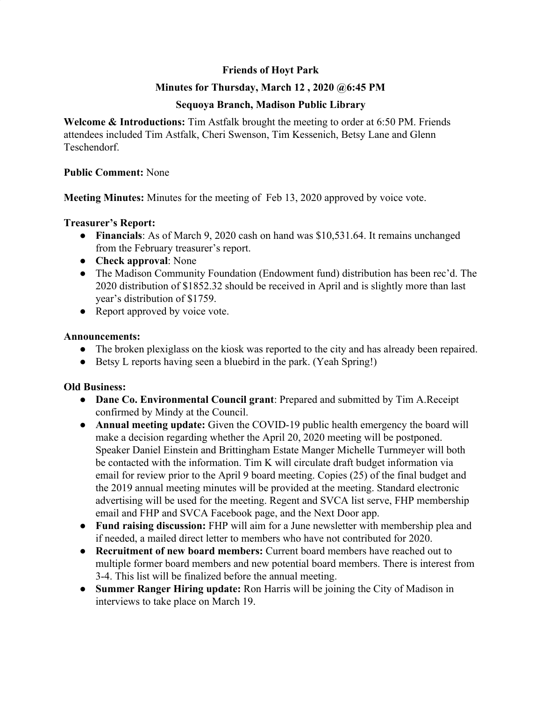# **Friends of Hoyt Park**

## **Minutes for Thursday, March 12 , 2020 @6:45 PM**

# **Sequoya Branch, Madison Public Library**

**Welcome & Introductions:** Tim Astfalk brought the meeting to order at 6:50 PM. Friends attendees included Tim Astfalk, Cheri Swenson, Tim Kessenich, Betsy Lane and Glenn Teschendorf.

#### **Public Comment:** None

**Meeting Minutes:** Minutes for the meeting of Feb 13, 2020 approved by voice vote.

### **Treasurer's Report:**

- **Financials**: As of March 9, 2020 cash on hand was \$10,531.64. It remains unchanged from the February treasurer's report.
- **Check approval**: None
- The Madison Community Foundation (Endowment fund) distribution has been rec'd. The 2020 distribution of \$1852.32 should be received in April and is slightly more than last year's distribution of \$1759.
- Report approved by voice vote.

### **Announcements:**

- The broken plexiglass on the kiosk was reported to the city and has already been repaired.
- Betsy L reports having seen a bluebird in the park. (Yeah Spring!)

### **Old Business:**

- **● Dane Co. Environmental Council grant**: Prepared and submitted by Tim A.Receipt confirmed by Mindy at the Council.
- **● Annual meeting update:** Given the COVID-19 public health emergency the board will make a decision regarding whether the April 20, 2020 meeting will be postponed. Speaker Daniel Einstein and Brittingham Estate Manger Michelle Turnmeyer will both be contacted with the information. Tim K will circulate draft budget information via email for review prior to the April 9 board meeting. Copies (25) of the final budget and the 2019 annual meeting minutes will be provided at the meeting. Standard electronic advertising will be used for the meeting. Regent and SVCA list serve, FHP membership email and FHP and SVCA Facebook page, and the Next Door app.
- **● Fund raising discussion:** FHP will aim for a June newsletter with membership plea and if needed, a mailed direct letter to members who have not contributed for 2020.
- **● Recruitment of new board members:** Current board members have reached out to multiple former board members and new potential board members. There is interest from 3-4. This list will be finalized before the annual meeting.
- **● Summer Ranger Hiring update:** Ron Harris will be joining the City of Madison in interviews to take place on March 19.